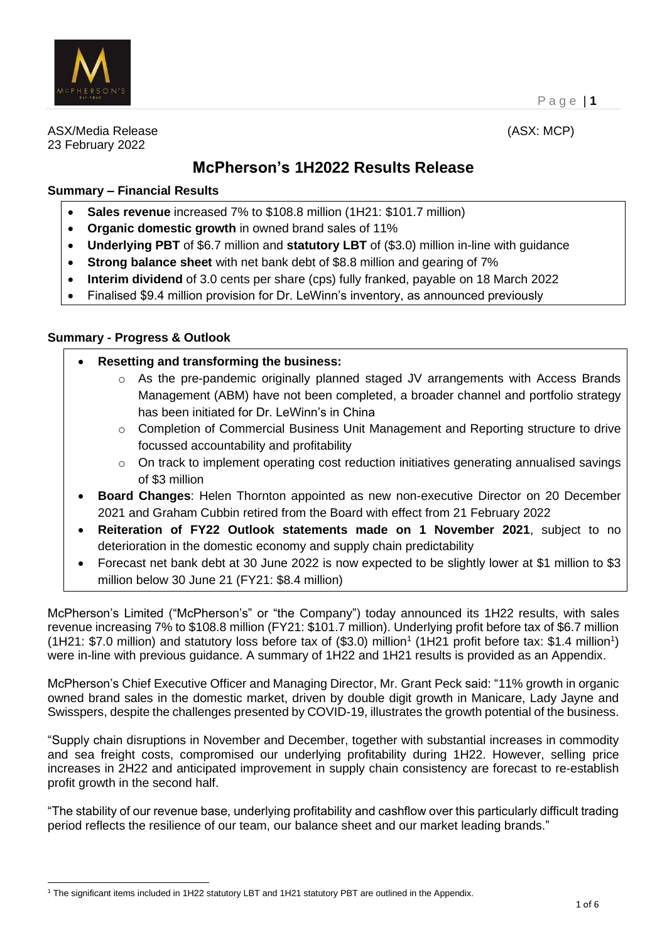

ASX/Media Release (ASX: MCP) 23 February 2022

# **McPherson's 1H2022 Results Release**

# **Summary – Financial Results**

- **Sales revenue** increased 7% to \$108.8 million (1H21: \$101.7 million)
- **Organic domestic growth** in owned brand sales of 11%
- **Underlying PBT** of \$6.7 million and **statutory LBT** of (\$3.0) million in-line with guidance
- **Strong balance sheet** with net bank debt of \$8.8 million and gearing of 7%
- **Interim dividend** of 3.0 cents per share (cps) fully franked, payable on 18 March 2022
- Finalised \$9.4 million provision for Dr. LeWinn's inventory, as announced previously

# **Summary - Progress & Outlook**

- **Resetting and transforming the business:**
	- $\circ$  As the pre-pandemic originally planned staged JV arrangements with Access Brands Management (ABM) have not been completed, a broader channel and portfolio strategy has been initiated for Dr. LeWinn's in China
	- o Completion of Commercial Business Unit Management and Reporting structure to drive focussed accountability and profitability
	- $\circ$  On track to implement operating cost reduction initiatives generating annualised savings of \$3 million
- **Board Changes**: Helen Thornton appointed as new non-executive Director on 20 December 2021 and Graham Cubbin retired from the Board with effect from 21 February 2022
- **Reiteration of FY22 Outlook statements made on 1 November 2021**, subject to no deterioration in the domestic economy and supply chain predictability
- Forecast net bank debt at 30 June 2022 is now expected to be slightly lower at \$1 million to \$3 million below 30 June 21 (FY21: \$8.4 million)

McPherson's Limited ("McPherson's" or "the Company") today announced its 1H22 results, with sales revenue increasing 7% to \$108.8 million (FY21: \$101.7 million). Underlying profit before tax of \$6.7 million (1H21: \$7.0 million) and statutory loss before tax of (\$3.0) million<sup>1</sup> (1H21 profit before tax: \$1.4 million<sup>1</sup>) were in-line with previous guidance. A summary of 1H22 and 1H21 results is provided as an Appendix.

McPherson's Chief Executive Officer and Managing Director, Mr. Grant Peck said: "11% growth in organic owned brand sales in the domestic market, driven by double digit growth in Manicare, Lady Jayne and Swisspers, despite the challenges presented by COVID-19, illustrates the growth potential of the business.

"Supply chain disruptions in November and December, together with substantial increases in commodity and sea freight costs, compromised our underlying profitability during 1H22. However, selling price increases in 2H22 and anticipated improvement in supply chain consistency are forecast to re-establish profit growth in the second half.

"The stability of our revenue base, underlying profitability and cashflow over this particularly difficult trading period reflects the resilience of our team, our balance sheet and our market leading brands."

<sup>1</sup> The significant items included in 1H22 statutory LBT and 1H21 statutory PBT are outlined in the Appendix.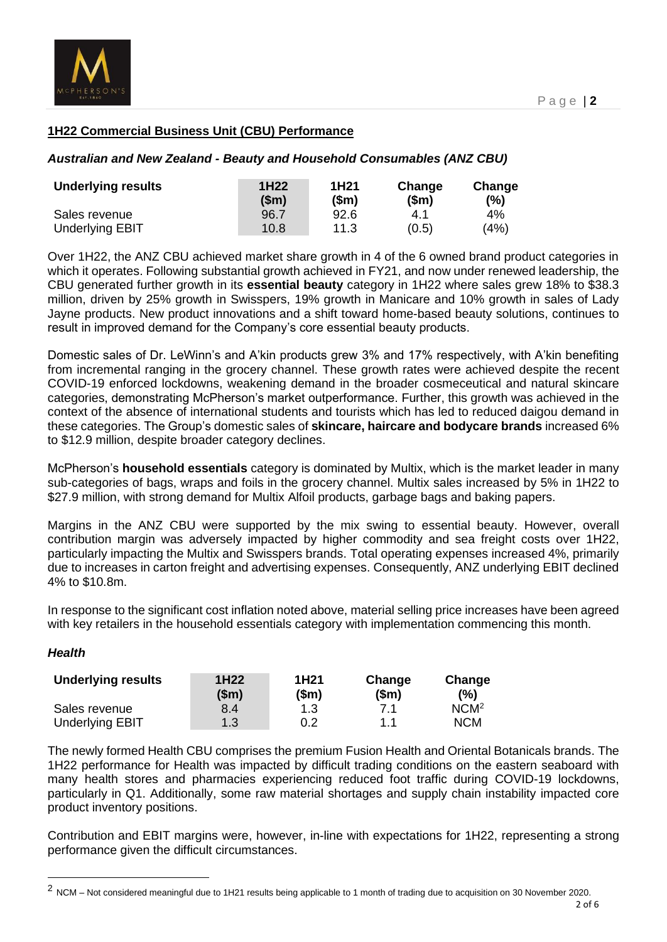

# **1H22 Commercial Business Unit (CBU) Performance**

#### *Australian and New Zealand - Beauty and Household Consumables (ANZ CBU)*

| <b>Underlying results</b> | 1H <sub>22</sub><br>(Sm) | 1H <sub>21</sub><br>(Sm) | Change<br>(\$m) | Change<br>(%) |
|---------------------------|--------------------------|--------------------------|-----------------|---------------|
| Sales revenue             | 96.7                     | 92.6                     | 4.1             | 4%            |
| <b>Underlying EBIT</b>    | 10.8                     | 11.3                     | (0.5)           | (4%)          |

Over 1H22, the ANZ CBU achieved market share growth in 4 of the 6 owned brand product categories in which it operates. Following substantial growth achieved in FY21, and now under renewed leadership, the CBU generated further growth in its **essential beauty** category in 1H22 where sales grew 18% to \$38.3 million, driven by 25% growth in Swisspers, 19% growth in Manicare and 10% growth in sales of Lady Jayne products. New product innovations and a shift toward home-based beauty solutions, continues to result in improved demand for the Company's core essential beauty products.

Domestic sales of Dr. LeWinn's and A'kin products grew 3% and 17% respectively, with A'kin benefiting from incremental ranging in the grocery channel. These growth rates were achieved despite the recent COVID-19 enforced lockdowns, weakening demand in the broader cosmeceutical and natural skincare categories, demonstrating McPherson's market outperformance. Further, this growth was achieved in the context of the absence of international students and tourists which has led to reduced daigou demand in these categories. The Group's domestic sales of **skincare, haircare and bodycare brands** increased 6% to \$12.9 million, despite broader category declines.

McPherson's **household essentials** category is dominated by Multix, which is the market leader in many sub-categories of bags, wraps and foils in the grocery channel. Multix sales increased by 5% in 1H22 to \$27.9 million, with strong demand for Multix Alfoil products, garbage bags and baking papers.

Margins in the ANZ CBU were supported by the mix swing to essential beauty. However, overall contribution margin was adversely impacted by higher commodity and sea freight costs over 1H22, particularly impacting the Multix and Swisspers brands. Total operating expenses increased 4%, primarily due to increases in carton freight and advertising expenses. Consequently, ANZ underlying EBIT declined 4% to \$10.8m.

In response to the significant cost inflation noted above, material selling price increases have been agreed with key retailers in the household essentials category with implementation commencing this month.

#### *Health*

| <b>Underlying results</b> | 1H <sub>22</sub><br>(\$m) | 1H <sub>21</sub><br>\$m\$ | Change<br>\$m\$ | Change<br>$(\%)$ |
|---------------------------|---------------------------|---------------------------|-----------------|------------------|
| Sales revenue             | 8.4                       | 1.3                       | 71              | NCM <sup>2</sup> |
| <b>Underlying EBIT</b>    | 1.3                       | 0.2                       | 11              | <b>NCM</b>       |

The newly formed Health CBU comprises the premium Fusion Health and Oriental Botanicals brands. The 1H22 performance for Health was impacted by difficult trading conditions on the eastern seaboard with many health stores and pharmacies experiencing reduced foot traffic during COVID-19 lockdowns, particularly in Q1. Additionally, some raw material shortages and supply chain instability impacted core product inventory positions.

Contribution and EBIT margins were, however, in-line with expectations for 1H22, representing a strong performance given the difficult circumstances.

<sup>&</sup>lt;sup>2</sup> NCM – Not considered meaningful due to 1H21 results being applicable to 1 month of trading due to acquisition on 30 November 2020.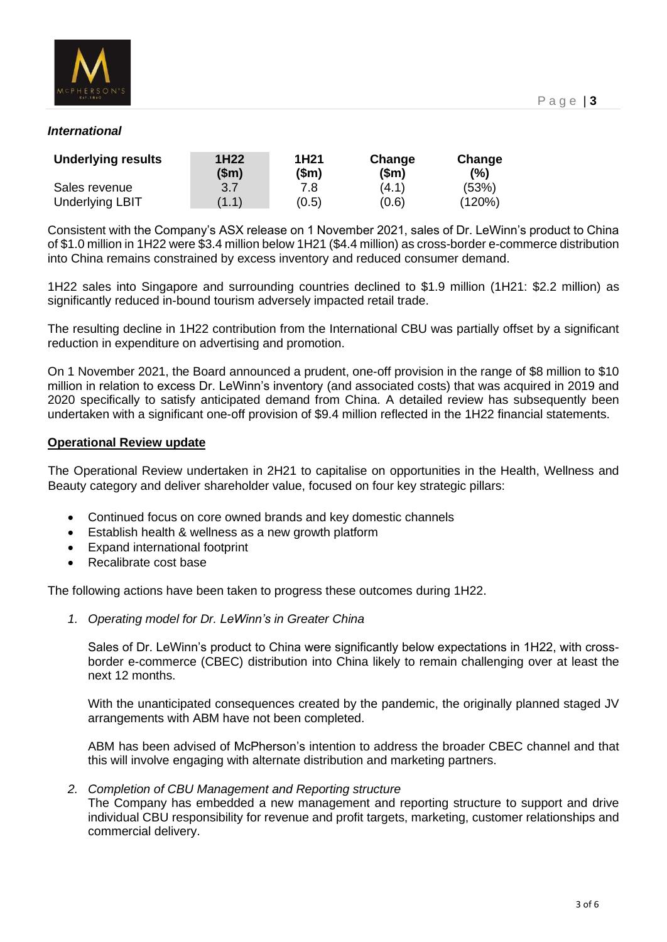

## *International*

| <b>Underlying results</b> | 1H <sub>22</sub><br>\$m\$ | 1H <sub>21</sub><br>(\$m) | Change<br>(\$m) | Change<br>(%) |
|---------------------------|---------------------------|---------------------------|-----------------|---------------|
| Sales revenue             | 3.7                       | 7.8                       | (4.1)           | (53%)         |
| <b>Underlying LBIT</b>    | (1.1)                     | (0.5)                     | (0.6)           | (120%)        |

Consistent with the Company's ASX release on 1 November 2021, sales of Dr. LeWinn's product to China of \$1.0 million in 1H22 were \$3.4 million below 1H21 (\$4.4 million) as cross-border e-commerce distribution into China remains constrained by excess inventory and reduced consumer demand.

1H22 sales into Singapore and surrounding countries declined to \$1.9 million (1H21: \$2.2 million) as significantly reduced in-bound tourism adversely impacted retail trade.

The resulting decline in 1H22 contribution from the International CBU was partially offset by a significant reduction in expenditure on advertising and promotion.

On 1 November 2021, the Board announced a prudent, one-off provision in the range of \$8 million to \$10 million in relation to excess Dr. LeWinn's inventory (and associated costs) that was acquired in 2019 and 2020 specifically to satisfy anticipated demand from China. A detailed review has subsequently been undertaken with a significant one-off provision of \$9.4 million reflected in the 1H22 financial statements.

#### **Operational Review update**

The Operational Review undertaken in 2H21 to capitalise on opportunities in the Health, Wellness and Beauty category and deliver shareholder value, focused on four key strategic pillars:

- Continued focus on core owned brands and key domestic channels
- Establish health & wellness as a new growth platform
- Expand international footprint
- Recalibrate cost base

The following actions have been taken to progress these outcomes during 1H22.

*1. Operating model for Dr. LeWinn's in Greater China*

Sales of Dr. LeWinn's product to China were significantly below expectations in 1H22, with crossborder e-commerce (CBEC) distribution into China likely to remain challenging over at least the next 12 months.

With the unanticipated consequences created by the pandemic, the originally planned staged JV arrangements with ABM have not been completed.

ABM has been advised of McPherson's intention to address the broader CBEC channel and that this will involve engaging with alternate distribution and marketing partners.

#### *2. Completion of CBU Management and Reporting structure*

The Company has embedded a new management and reporting structure to support and drive individual CBU responsibility for revenue and profit targets, marketing, customer relationships and commercial delivery.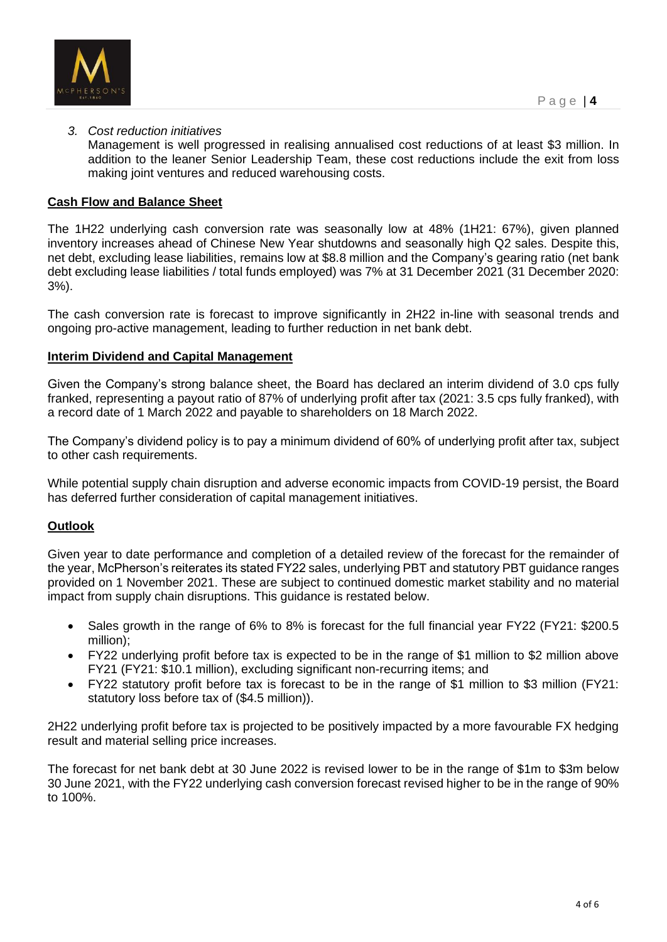

## *3. Cost reduction initiatives*

Management is well progressed in realising annualised cost reductions of at least \$3 million. In addition to the leaner Senior Leadership Team, these cost reductions include the exit from loss making joint ventures and reduced warehousing costs.

## **Cash Flow and Balance Sheet**

The 1H22 underlying cash conversion rate was seasonally low at 48% (1H21: 67%), given planned inventory increases ahead of Chinese New Year shutdowns and seasonally high Q2 sales. Despite this, net debt, excluding lease liabilities, remains low at \$8.8 million and the Company's gearing ratio (net bank debt excluding lease liabilities / total funds employed) was 7% at 31 December 2021 (31 December 2020: 3%).

The cash conversion rate is forecast to improve significantly in 2H22 in-line with seasonal trends and ongoing pro-active management, leading to further reduction in net bank debt.

## **Interim Dividend and Capital Management**

Given the Company's strong balance sheet, the Board has declared an interim dividend of 3.0 cps fully franked, representing a payout ratio of 87% of underlying profit after tax (2021: 3.5 cps fully franked), with a record date of 1 March 2022 and payable to shareholders on 18 March 2022.

The Company's dividend policy is to pay a minimum dividend of 60% of underlying profit after tax, subject to other cash requirements.

While potential supply chain disruption and adverse economic impacts from COVID-19 persist, the Board has deferred further consideration of capital management initiatives.

#### **Outlook**

Given year to date performance and completion of a detailed review of the forecast for the remainder of the year, McPherson's reiterates its stated FY22 sales, underlying PBT and statutory PBT guidance ranges provided on 1 November 2021. These are subject to continued domestic market stability and no material impact from supply chain disruptions. This guidance is restated below.

- Sales growth in the range of 6% to 8% is forecast for the full financial year FY22 (FY21: \$200.5 million);
- FY22 underlying profit before tax is expected to be in the range of \$1 million to \$2 million above FY21 (FY21: \$10.1 million), excluding significant non-recurring items; and
- FY22 statutory profit before tax is forecast to be in the range of \$1 million to \$3 million (FY21: statutory loss before tax of (\$4.5 million)).

2H22 underlying profit before tax is projected to be positively impacted by a more favourable FX hedging result and material selling price increases.

The forecast for net bank debt at 30 June 2022 is revised lower to be in the range of \$1m to \$3m below 30 June 2021, with the FY22 underlying cash conversion forecast revised higher to be in the range of 90% to 100%.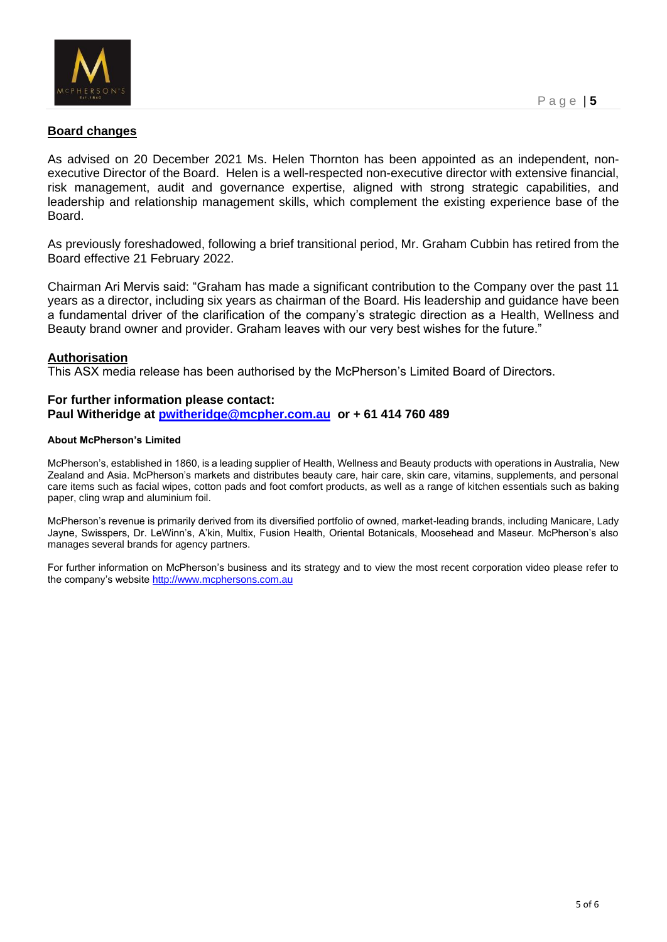

#### **Board changes**

As advised on 20 December 2021 Ms. Helen Thornton has been appointed as an independent, nonexecutive Director of the Board. Helen is a well-respected non-executive director with extensive financial, risk management, audit and governance expertise, aligned with strong strategic capabilities, and leadership and relationship management skills, which complement the existing experience base of the Board.

As previously foreshadowed, following a brief transitional period, Mr. Graham Cubbin has retired from the Board effective 21 February 2022.

Chairman Ari Mervis said: "Graham has made a significant contribution to the Company over the past 11 years as a director, including six years as chairman of the Board. His leadership and guidance have been a fundamental driver of the clarification of the company's strategic direction as a Health, Wellness and Beauty brand owner and provider. Graham leaves with our very best wishes for the future."

#### **Authorisation**

This ASX media release has been authorised by the McPherson's Limited Board of Directors.

#### **For further information please contact:**

**Paul Witheridge at [pwitheridge@mcpher.com.au](mailto:pwitheridge@mcpher.com.au) or + 61 414 760 489**

#### **About McPherson's Limited**

McPherson's, established in 1860, is a leading supplier of Health, Wellness and Beauty products with operations in Australia, New Zealand and Asia. McPherson's markets and distributes beauty care, hair care, skin care, vitamins, supplements, and personal care items such as facial wipes, cotton pads and foot comfort products, as well as a range of kitchen essentials such as baking paper, cling wrap and aluminium foil.

McPherson's revenue is primarily derived from its diversified portfolio of owned, market-leading brands, including Manicare, Lady Jayne, Swisspers, Dr. LeWinn's, A'kin, Multix, Fusion Health, Oriental Botanicals, Moosehead and Maseur. McPherson's also manages several brands for agency partners.

For further information on McPherson's business and its strategy and to view the most recent corporation video please refer to the company's website [http://www.mcphersons.com.au](http://www.mcphersons.com.au/)